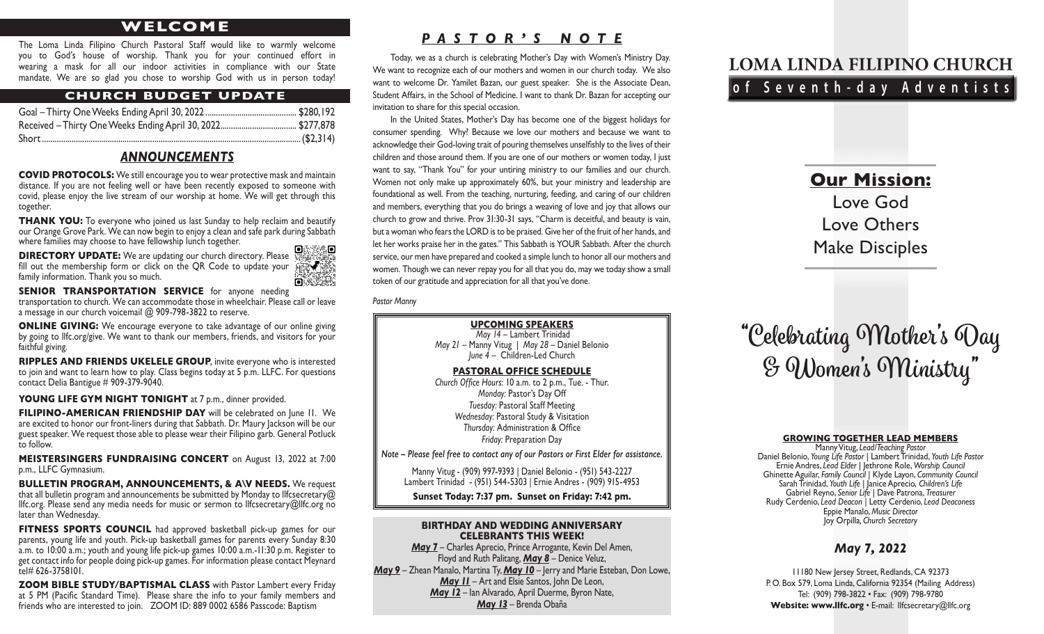# **WELCOME**

The Loma Linda Filipino Church Pastoral Staff would like to warmly welcome you to God's house of worship. Thank you for your continued effort in wearing a mask for all our indoor activities in compliance with our State mandate. We are so glad you chose to worship God with us in person today!

## **CHURCH BUDGET UPDATE**

# *ANNOUNCEMENTS*

**COVID PROTOCOLS:** We still encourage you to wear protective mask and maintain distance. If you are not feeling well or have been recently exposed to someone with covid, please enjoy the live stream of our worship at home. We will get through this together.

**THANK YOU:** To everyone who joined us last Sunday to help reclaim and beautify our Orange Grove Park. We can now begin to enjoy a clean and safe park during Sabbath where families may choose to have fellowship lunch together.

**DIRECTORY UPDATE:** We are updating our church directory. Please fill out the membership form or click on the QR Code to update your family information. Thank you so much.

 $0.333.0$ 

**SENIOR TRANSPORTATION SERVICE** for anyone needing transportation to church. We can accommodate those in wheelchair. Please call or leave a message in our church voicemail @ 909-798-3822 to reserve.

**ONLINE GIVING:** We encourage everyone to take advantage of our online giving by going to llfc.org/give. We want to thank our members, friends, and visitors for your faithful giving.

**RIPPLES AND FRIENDS UKELELE GROUP**, invite everyone who is interested to join and want to learn how to play. Class begins today at 5 p.m. LLFC. For questions contact Delia Bantigue # 909-379-9040.

YOUNG LIFE GYM NIGHT TONIGHT at 7 p.m., dinner provided.

**FILIPINO-AMERICAN FRIENDSHIP DAY** will be celebrated on June 11. We are excited to honor our front-liners during that Sabbath. Dr. Maury Jackson will be our guest speaker. We request those able to please wear their Filipino garb. General Potluck to follow.

**MEISTERSINGERS FUNDRAISING CONCERT** on August 13, 2022 at 7:00 p.m., LLFC Gymnasium.

**BULLETIN PROGRAM, ANNOUNCEMENTS, & A\V NEEDS.** We request that all bulletin program and announcements be submitted by Monday to llfcsecretary@ llfc.org. Please send any media needs for music or sermon to llfcsecretary@llfc.org no later than Wednesday.

**FITNESS SPORTS COUNCIL** had approved basketball pick-up games for our parents, young life and youth. Pick-up basketball games for parents every Sunday 8:30 a.m. to 10:00 a.m.; youth and young life pick-up games 10:00 a.m.-11:30 p.m. Register to get contact info for people doing pick-up games. For information please contact Meynard tel# 626-3758101.

**ZOOM BIBLE STUDY/BAPTISMAL CLASS** with Pastor Lambert every Friday at 5 PM (Pacific Standard Time). Please share the info to your family members and friends who are interested to join. ZOOM ID: 889 0002 6586 Passcode: Baptism

# *PASTOR'S NOTE*

Today, we as a church is celebrating Mother's Day with Women's Ministry Day. We want to recognize each of our mothers and women in our church today. We also want to welcome Dr. Yamilet Bazan, our guest speaker. She is the Associate Dean, Student Affairs, in the School of Medicine. I want to thank Dr. Bazan for accepting our invitation to share for this special occasion.

In the United States, Mother's Day has become one of the biggest holidays for consumer spending. Why? Because we love our mothers and because we want to acknowledge their God-loving trait of pouring themselves unselfishly to the lives of their children and those around them. If you are one of our mothers or women today, I just want to say, "Thank You" for your untiring ministry to our families and our church. Women not only make up approximately 60%, but your ministry and leadership are foundational as well. From the teaching, nurturing, feeding, and caring of our children and members, everything that you do brings a weaving of love and joy that allows our church to grow and thrive. Prov 31:30-31 says, "Charm is deceitful, and beauty is vain, but a woman who fears the LORD is to be praised. Give her of the fruit of her hands, and let her works praise her in the gates." This Sabbath is YOUR Sabbath. After the church service, our men have prepared and cooked a simple lunch to honor all our mothers and women. Though we can never repay you for all that you do, may we today show a small token of our gratitude and appreciation for all that you've done.

*Pastor Manny*

#### **UPCOMING SPEAKERS**  *May 14* – Lambert Trinidad *May 21* – Manny Vitug | *May 28* – Daniel Belonio *June 4* – Children-Led Church

**PASTORAL OFFICE SCHEDULE** *Church Office Hours*: 10 a.m. to 2 p.m., Tue. - Thur. *Monday:* Pastor's Day Off *Tuesday:* Pastoral Staff Meeting *Wednesday:* Pastoral Study & Visitation *Thursday:* Administration & Office *Friday:* Preparation Day

*Note – Please feel free to contact any of our Pastors or First Elder for assistance.*

Manny Vitug - (909) 997-9393 | Daniel Belonio - (951) 543-2227 Lambert Trinidad - (951) 544-5303 | Ernie Andres - (909) 915-4953

**Sunset Today: 7:37 pm. Sunset on Friday: 7:42 pm.**

#### **BIRTHDAY AND WEDDING ANNIVERSARY CELEBRANTS THIS WEEK!**

*May 7* – Charles Aprecio, Prince Arrogante, Kevin Del Amen, Floyd and Ruth Palitang, *May 8* – Denice Veluz, *May 9* – Zhean Manalo, Martina Ty, *May 10* – Jerry and Marie Esteban, Don Lowe, *May 11* – Art and Elsie Santos, John De Leon, *May 12* – Ian Alvarado, April Duerme, Byron Nate, *May 13* – Brenda Obaña

# **LOMA LINDA FILIPINO CHURCH of Seventh-day Adventists**

# **Our Mission:** Love God Love Others Make Disciples

# **"Celebrating Mother's Day & Women's Ministry"**

#### **GROWING TOGETHER LEAD MEMBERS**

Manny Vitug, *Lead/Teaching Pastor*<br>Daniel Belonio, Young Life Pastor | Lambert Trinidad, Youth Life Pastor Daniel Belonio, *Young Life Pastor* | Lambert Trinidad, *Youth Life Pastor* Ernie Andres, *Lead Elder* | Jethrone Role, *Worship Council* Ghinette Aguilar, *Family Council* | Klyde Layon, *Community Council* Sarah Trinidad, *Youth Life |* Janice Aprecio, *Children's Life* Gabriel Reyno, *Senior Life* | Dave Patrona, *Treasurer* Rudy Cerdenio, *Lead Deacon |* Letty Cerdenio, *Lead Deaconess* Eppie Manalo, *Music Director* Joy Orpilla*, Church Secretary*

# *May 7, 2022*

11180 New Jersey Street, Redlands, CA 92373 P. O. Box 579, Loma Linda, California 92354 (Mailing Address) Tel: (909) 798-3822 • Fax: (909) 798-9780 Website: www.llfc.org · E-mail: llfcsecretary@llfc.org